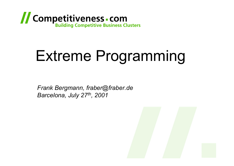

# Extreme Programming

*Frank Bergmann, fraber@fraber.de Barcelona, July 27th, 2001*

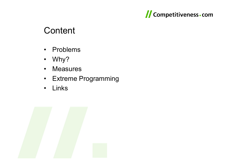

### **Content**

- $\bullet$ Problems
- $\bullet$ Why?
- $\bullet$ **Measures**
- $\bullet$ Extreme Programming
- $\bullet$ Links

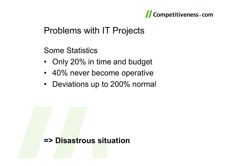

## Problems with IT Projects

Some Statistics

- Only 20% in time and budget
- 40% never become operative
- Deviations up to 200% normal

#### **=> Disastrous situation**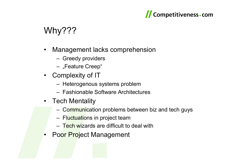#### Competitiveness - com

## Why???

- • Management lacks comprehension
	- Greedy providers
	- "Feature Creep"
- Complexity of IT
	- Heterogenous systems problem
	- Fashionable Software Architectures
- Tech Mentality
	- Communication problems between biz and tech guys
	- Fl<mark>uctuati</mark>ons in project team
	- Tech wizards are difficult to deal with
- •Poor Project Management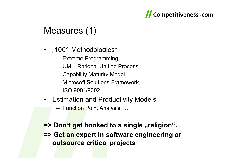

## Measures (1)

- "1001 Methodologies"
	- Extreme Programming,
	- UML, Rational Unified Process,
	- Capability Maturity Model,
	- Microsoft Solutions Framework,
	- ISO 9001/9002
- Estimation and Productivity Models
	- Function Point Analysis, ...

**=> Don't get hooked to a single "religion". => Get an expert in software engineering or outsource critical projects**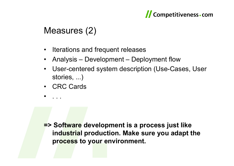

## Measures (2)

- $\bullet$ Iterations and frequent releases
- •Analysis – Development – Deployment flow
- • User-centered system description (Use-Cases, User stories, ...)
- CRC Cards

. . .

•

**=> Software development is a process just like industrial production. Make sure you adapt the process to your environment.**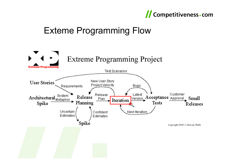#### Competitiveness - com

## Exteme Programming Flow